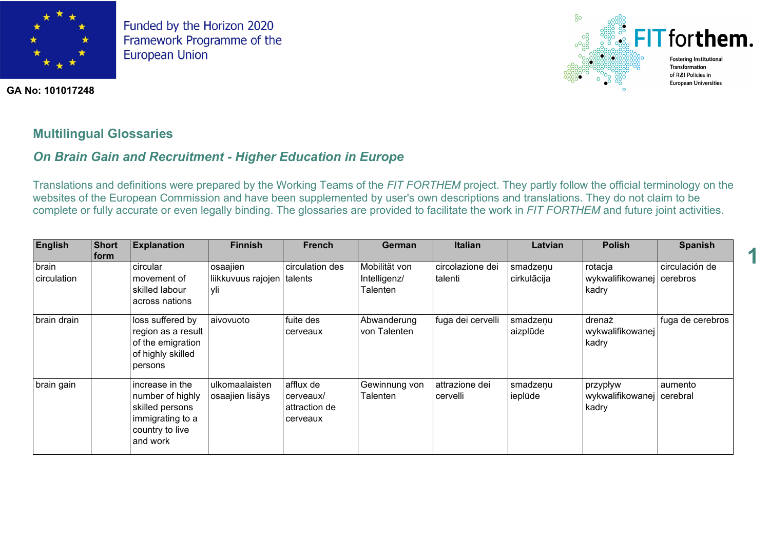

**GA No: 101017248**



**1**

## **Multilingual Glossaries**

# *On Brain Gain and Recruitment - Higher Education in Europe*

Translations and definitions were prepared by the Working Teams of the *FIT FORTHEM* project. They partly follow the official terminology on the websites of the European Commission and have been supplemented by user's own descriptions and translations. They do not claim to be complete or fully accurate or even legally binding. The glossaries are provided to facilitate the work in *FIT FORTHEM* and future joint activities.

| <b>English</b>       | <b>Short</b><br><b>form</b> | <b>Explanation</b>                                                                                        | <b>Finnish</b>                        | <b>French</b>                                       | German                                    | <b>Italian</b>              | Latvian                 | <b>Polish</b>                                  | <b>Spanish</b>   |
|----------------------|-----------------------------|-----------------------------------------------------------------------------------------------------------|---------------------------------------|-----------------------------------------------------|-------------------------------------------|-----------------------------|-------------------------|------------------------------------------------|------------------|
| brain<br>circulation |                             | circular<br>movement of<br>skilled labour<br>across nations                                               | osaajien<br>liikkuvuus rajojen<br>yli | circulation des<br>talents                          | Mobilität von<br>Intelligenz/<br>Talenten | circolazione dei<br>talenti | smadzenu<br>cirkulācija | rotacja<br>wykwalifikowanej cerebros<br>kadry  | circulación de   |
| brain drain          |                             | loss suffered by<br>region as a result<br>of the emigration<br>of highly skilled<br>persons               | aivovuoto                             | fuite des<br>cerveaux                               | Abwanderung<br>von Talenten               | fuga dei cervelli           | smadzenu<br>aizplūde    | drenaż<br>wykwalifikowanej<br>kadry            | fuga de cerebros |
| brain gain           |                             | increase in the<br>number of highly<br>skilled persons<br>immigrating to a<br>country to live<br>and work | ulkomaalaisten<br>osaajien lisäys     | afflux de<br>cerveaux/<br>attraction de<br>cerveaux | Gewinnung von<br>Talenten                 | attrazione dei<br>cervelli  | smadzeņu<br>ieplūde     | przypływ<br>wykwalifikowanej cerebral<br>kadry | aumento          |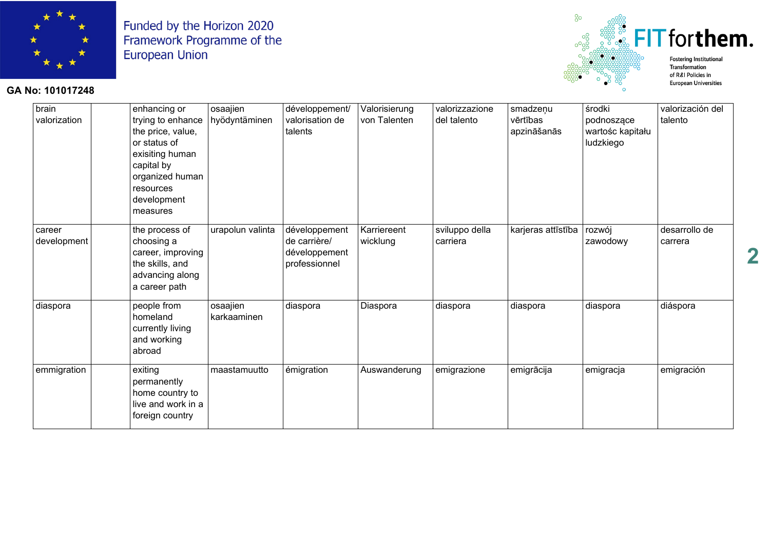

#### **GA No: 101017248**



brain valorization enhancing or trying to enhance the price, value, or status of exisiting human capital by organized human resources development measures osaajien hyödyntäminen développement/ valorisation de talents Valorisierung von Talenten valorizzazione del talento smadzenu vērtības apzināšanās środki podnoszące wartośc kapitału ludzkiego valorización del talento career development the process of choosing a career, improving the skills, and advancing along a career path urapolun valinta développement de carrière/ développement professionnel **Karriereent** wicklung sviluppo della carriera karjeras attīstība rozwój zawodowy desarrollo de carrera diaspora | people from homeland currently living and working abroad osaajien karkaaminen diaspora |Diaspora |diaspora |diaspora diaspora diáspora emmigration exiting permanently home country to live and work in a foreign country  $\frac{1}{2}$ maastamuutto emigration Auswanderung emigrazione emigrācija emigracija emigración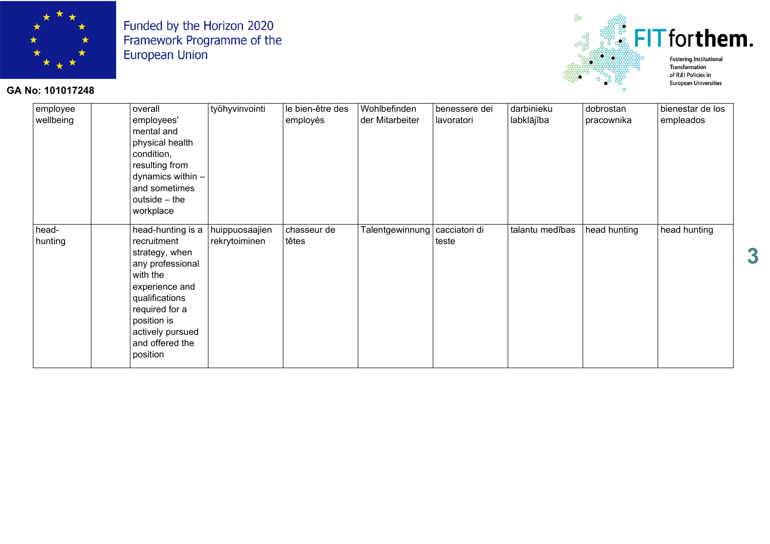

## **GA No: 101017248**



| employee<br>wellbeing | overall<br>employees'<br>mental and<br>physical health<br>condition,<br>resulting from<br>dynamics within -<br>and sometimes<br>outside $-$ the<br>workplace                                               | työhyvinvointi                  | le bien-être des<br>employés | Wohlbefinden<br>der Mitarbeiter | benessere dei<br>lavoratori | darbinieku<br>labklājība | dobrostan<br>pracownika | bienestar de los<br>empleados |
|-----------------------|------------------------------------------------------------------------------------------------------------------------------------------------------------------------------------------------------------|---------------------------------|------------------------------|---------------------------------|-----------------------------|--------------------------|-------------------------|-------------------------------|
| head-<br>hunting      | head-hunting is a<br>recruitment<br>strategy, when<br>any professional<br>with the<br>experience and<br>qualifications<br>required for a<br>position is<br>actively pursued<br>and offered the<br>position | huippuosaajien<br>rekrytoiminen | chasseur de<br>têtes         | Talentgewinnung   cacciatori di | teste                       | talantu medības          | head hunting            | head hunting                  |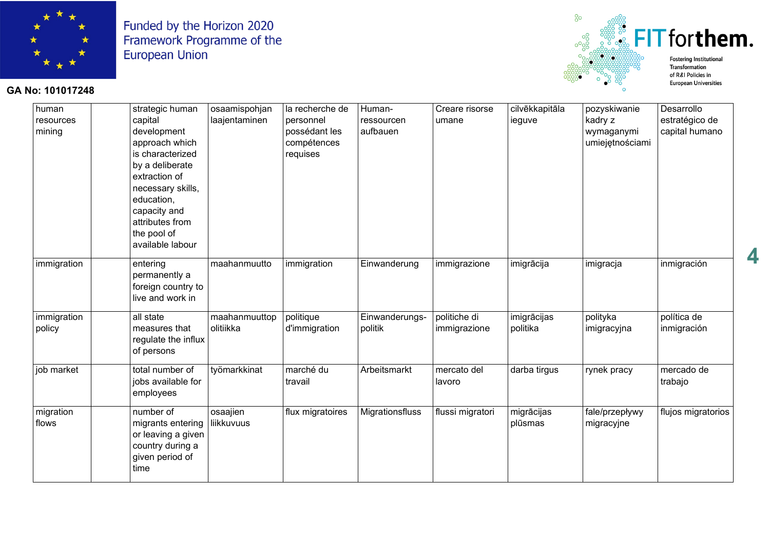

## **GA No: 101017248**



**4**

| human       | strategic human     | osaamispohjan | la recherche de  | Human-          | Creare risorse   | cilvēkkapitāla | pozyskiwanie    | Desarrollo         |
|-------------|---------------------|---------------|------------------|-----------------|------------------|----------------|-----------------|--------------------|
| resources   | capital             | laajentaminen | personnel        | ressourcen      | umane            | ieguve         | kadry z         | estratégico de     |
| mining      | development         |               | possédant les    | aufbauen        |                  |                | wymaganymi      | capital humano     |
|             | approach which      |               | compétences      |                 |                  |                | umiejętnościami |                    |
|             | is characterized    |               | requises         |                 |                  |                |                 |                    |
|             | by a deliberate     |               |                  |                 |                  |                |                 |                    |
|             | extraction of       |               |                  |                 |                  |                |                 |                    |
|             | necessary skills,   |               |                  |                 |                  |                |                 |                    |
|             | education,          |               |                  |                 |                  |                |                 |                    |
|             | capacity and        |               |                  |                 |                  |                |                 |                    |
|             | attributes from     |               |                  |                 |                  |                |                 |                    |
|             | the pool of         |               |                  |                 |                  |                |                 |                    |
|             | available labour    |               |                  |                 |                  |                |                 |                    |
| immigration | entering            | maahanmuutto  | immigration      | Einwanderung    | immigrazione     | imigrācija     | imigracja       | inmigración        |
|             | permanently a       |               |                  |                 |                  |                |                 |                    |
|             | foreign country to  |               |                  |                 |                  |                |                 |                    |
|             | live and work in    |               |                  |                 |                  |                |                 |                    |
| immigration | all state           | maahanmuuttop | politique        | Einwanderungs-  | politiche di     | imigrācijas    | polityka        | política de        |
| policy      | measures that       | olitiikka     | d'immigration    | politik         | immigrazione     | politika       | imigracyjna     | inmigración        |
|             | regulate the influx |               |                  |                 |                  |                |                 |                    |
|             | of persons          |               |                  |                 |                  |                |                 |                    |
| job market  | total number of     | työmarkkinat  | marché du        | Arbeitsmarkt    | mercato del      | darba tirgus   | rynek pracy     | mercado de         |
|             | jobs available for  |               | travail          |                 | lavoro           |                |                 | trabajo            |
|             | employees           |               |                  |                 |                  |                |                 |                    |
| migration   | number of           | osaajien      | flux migratoires | Migrationsfluss | flussi migratori | migrācijas     | fale/przepływy  | flujos migratorios |
| flows       | migrants entering   | liikkuvuus    |                  |                 |                  | plūsmas        | migracyjne      |                    |
|             | or leaving a given  |               |                  |                 |                  |                |                 |                    |
|             | country during a    |               |                  |                 |                  |                |                 |                    |
|             | given period of     |               |                  |                 |                  |                |                 |                    |
|             | time                |               |                  |                 |                  |                |                 |                    |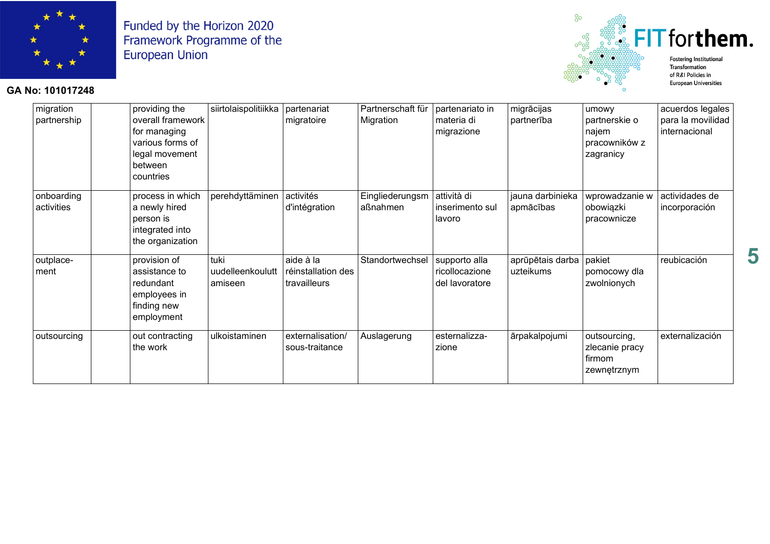

# **GA No: 101017248**



| migration<br>partnership | providing the<br>overall framework<br>for managing<br>various forms of<br>legal movement<br>between<br>countries | siirtolaispolitiikka                | partenariat<br>migratoire                       | Partnerschaft für<br>Migration | partenariato in<br>materia di<br>migrazione       | migrācijas<br>partnerība      | umowy<br>partnerskie o<br>najem<br>pracowników z<br>zagranicy | acuerdos legales<br>para la movilidad<br>internacional |
|--------------------------|------------------------------------------------------------------------------------------------------------------|-------------------------------------|-------------------------------------------------|--------------------------------|---------------------------------------------------|-------------------------------|---------------------------------------------------------------|--------------------------------------------------------|
| onboarding<br>activities | process in which<br>a newly hired<br>person is<br>integrated into<br>the organization                            | perehdyttäminen                     | activités<br>d'intégration                      | Eingliederungsm<br>aßnahmen    | attività di<br>inserimento sul<br>lavoro          | jauna darbinieka<br>apmācības | wprowadzanie w<br>obowiązki<br>pracownicze                    | actividades de<br>incorporación                        |
| outplace-<br>ment        | provision of<br>assistance to<br>redundant<br>employees in<br>finding new<br>employment                          | tuki<br>uudelleenkoulutt<br>amiseen | aide à la<br>réinstallation des<br>travailleurs | Standortwechsel                | supporto alla<br>ricollocazione<br>del lavoratore | aprūpētais darba<br>uzteikums | pakiet<br>pomocowy dla<br>zwolnionych                         | reubicación                                            |
| outsourcing              | out contracting<br>the work                                                                                      | ulkoistaminen                       | externalisation/<br>sous-traitance              | Auslagerung                    | esternalizza-<br>zione                            | ārpakalpojumi                 | outsourcing,<br>zlecanie pracy<br>firmom<br>zewnętrznym       | externalización                                        |

**5**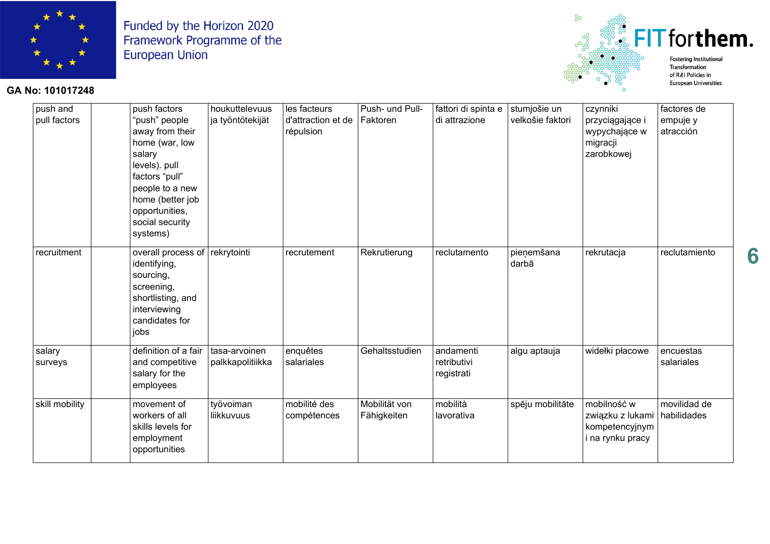

#### $^{8}$  $\ddot{\mathbb{F}}$  FIT for them. **Fostering Institutional** Transformation of R&I Policies in

**European Universities** 

**GA No: 101017248**

| push and<br>pull factors | push factors<br>"push" people<br>away from their<br>home (war, low<br>salary<br>levels). pull<br>factors "pull"<br>people to a new<br>home (better job<br>opportunities,<br>social security<br>systems) | houkuttelevuus<br>ja työntötekijät | les facteurs<br>d'attraction et de<br>répulsion | Push- und Pull-<br>Faktoren  | fattori di spinta e<br>di attrazione   | stumjošie un<br>velkošie faktori | czynniki<br>przyciągające i<br>wypychające w<br>migracji<br>zarobkowej            | factores de<br>empuje y<br>atracción |
|--------------------------|---------------------------------------------------------------------------------------------------------------------------------------------------------------------------------------------------------|------------------------------------|-------------------------------------------------|------------------------------|----------------------------------------|----------------------------------|-----------------------------------------------------------------------------------|--------------------------------------|
| recruitment              | overall process of rekrytointi<br>identifying,<br>sourcing,<br>screening,<br>shortlisting, and<br>interviewing<br>candidates for<br>jobs                                                                |                                    | recrutement                                     | Rekrutierung                 | reclutamento                           | pieņemšana<br>darbā              | rekrutacja                                                                        | reclutamiento                        |
| salary<br>surveys        | definition of a fair<br>and competitive<br>salary for the<br>employees                                                                                                                                  | tasa-arvoinen<br>palkkapolitiikka  | enquêtes<br>salariales                          | Gehaltsstudien               | andamenti<br>retributivi<br>registrati | algu aptauja                     | widełki płacowe                                                                   | encuestas<br>salariales              |
| skill mobility           | movement of<br>workers of all<br>skills levels for<br>employment<br>opportunities                                                                                                                       | työvoiman<br>liikkuvuus            | mobilité des<br>compétences                     | Mobilität von<br>Fähigkeiten | mobilità<br>lavorativa                 | spēju mobilitāte                 | mobilność w<br>związku z lukami habilidades<br>kompetencyjnym<br>i na rynku pracy | movilidad de                         |

**6**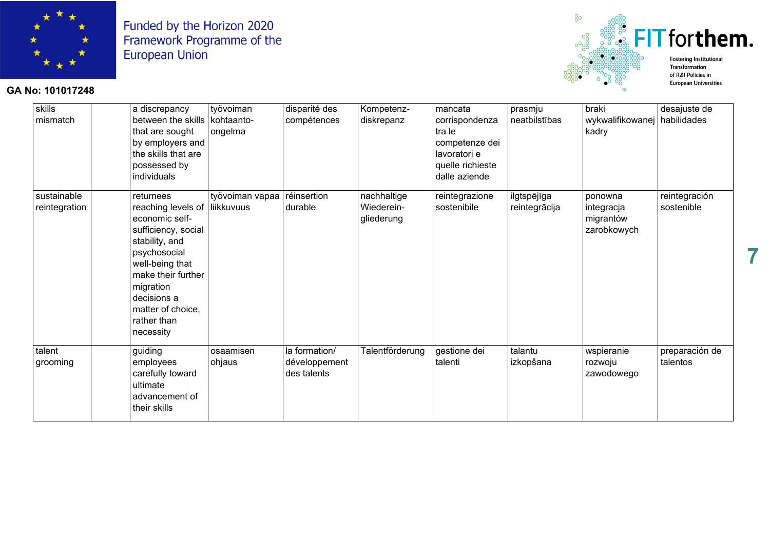

#### $^{8}$ FIT forthem. **Fostering Institutional** Transformation

**GA No: 101017248**



| skills<br>mismatch           | a discrepancy<br>between the skills   kohtaanto-<br>that are sought<br>by employers and<br>the skills that are<br>possessed by<br>individuals                                                                                               | työvoiman<br>ongelma | disparité des<br>compétences                  | Kompetenz-<br>diskrepanz                | mancata<br>corrispondenza<br>tra le<br>competenze dei<br>lavoratori e<br>quelle richieste<br>dalle aziende | prasmju<br>neatbilstības     | braki<br>wykwalifikowanej<br>kadry                | desajuste de<br>habilidades |
|------------------------------|---------------------------------------------------------------------------------------------------------------------------------------------------------------------------------------------------------------------------------------------|----------------------|-----------------------------------------------|-----------------------------------------|------------------------------------------------------------------------------------------------------------|------------------------------|---------------------------------------------------|-----------------------------|
| sustainable<br>reintegration | returnees<br>reaching levels of liikkuvuus<br>economic self-<br>sufficiency, social<br>stability, and<br>psychosocial<br>well-being that<br>make their further<br>migration<br>decisions a<br>matter of choice,<br>rather than<br>necessity | työvoiman vapaa      | réinsertion<br>durable                        | nachhaltige<br>Wiederein-<br>gliederung | reintegrazione<br>sostenibile                                                                              | ilgtspējīga<br>reintegrācija | ponowna<br>integracja<br>migrantów<br>zarobkowych | reintegración<br>sostenible |
| talent<br>grooming           | guiding<br>employees<br>carefully toward<br>ultimate<br>advancement of<br>their skills                                                                                                                                                      | osaamisen<br>ohjaus  | la formation/<br>développement<br>des talents | Talentförderung                         | gestione dei<br>talenti                                                                                    | talantu<br>izkopšana         | wspieranie<br>rozwoju<br>zawodowego               | preparación de<br>talentos  |